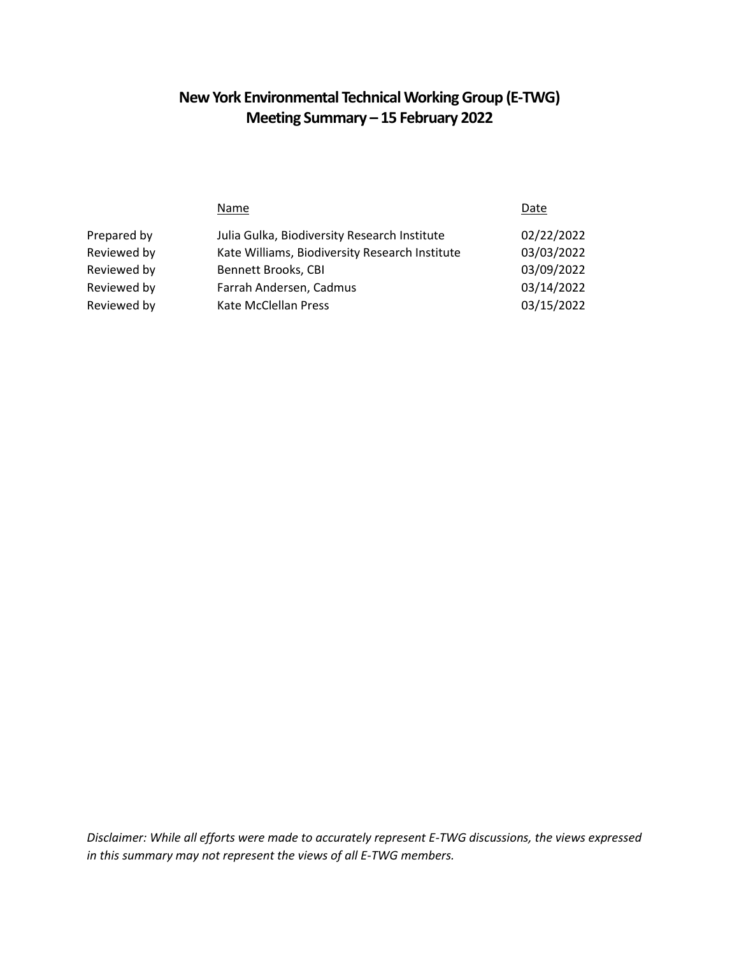# **New York Environmental Technical Working Group (E-TWG) Meeting Summary – 15 February 2022**

|             | Name                                           | Date       |
|-------------|------------------------------------------------|------------|
| Prepared by | Julia Gulka, Biodiversity Research Institute   | 02/22/2022 |
| Reviewed by | Kate Williams, Biodiversity Research Institute | 03/03/2022 |
| Reviewed by | Bennett Brooks, CBI                            | 03/09/2022 |
| Reviewed by | Farrah Andersen, Cadmus                        | 03/14/2022 |
| Reviewed by | Kate McClellan Press                           | 03/15/2022 |
|             |                                                |            |

*Disclaimer: While all efforts were made to accurately represent E-TWG discussions, the views expressed in this summary may not represent the views of all E-TWG members.*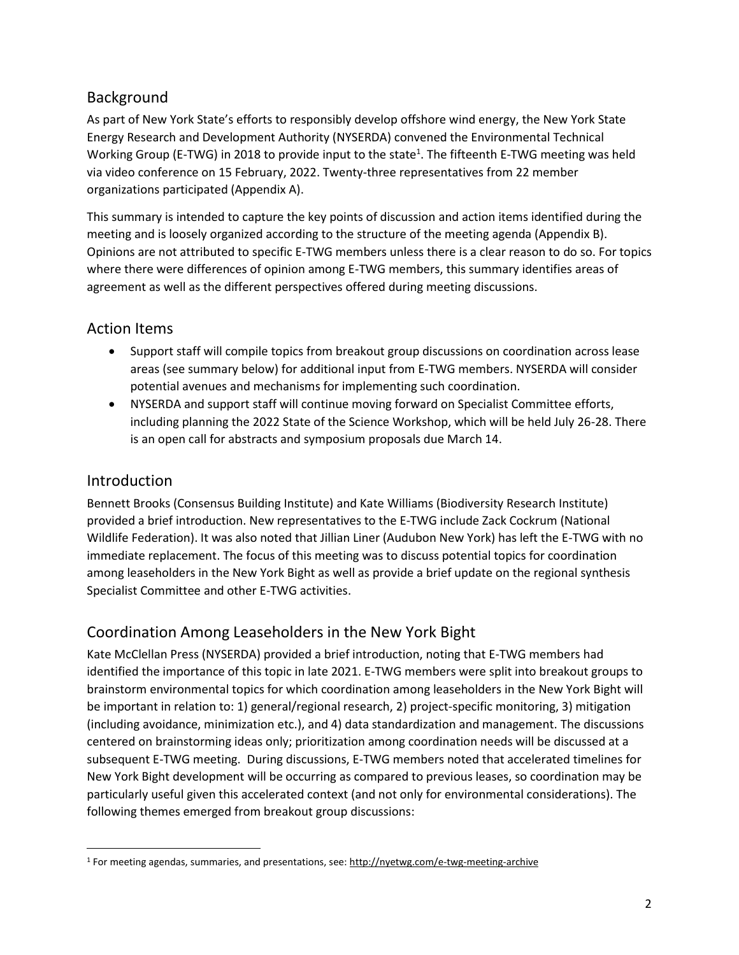# Background

As part of New York State's efforts to responsibly develop offshore wind energy, the New York State Energy Research and Development Authority (NYSERDA) convened the Environmental Technical Working Group (E-TWG) in 2018 to provide input to the state<sup>1</sup>. The fifteenth E-TWG meeting was held via video conference on 15 February, 2022. Twenty-three representatives from 22 member organizations participated (Appendix A).

This summary is intended to capture the key points of discussion and action items identified during the meeting and is loosely organized according to the structure of the meeting agenda (Appendix B). Opinions are not attributed to specific E-TWG members unless there is a clear reason to do so. For topics where there were differences of opinion among E-TWG members, this summary identifies areas of agreement as well as the different perspectives offered during meeting discussions.

# Action Items

- Support staff will compile topics from breakout group discussions on coordination across lease areas (see summary below) for additional input from E-TWG members. NYSERDA will consider potential avenues and mechanisms for implementing such coordination.
- NYSERDA and support staff will continue moving forward on Specialist Committee efforts, including planning the 2022 State of the Science Workshop, which will be held July 26-28. There is an open call for abstracts and symposium proposals due March 14.

## Introduction

 $\overline{a}$ 

Bennett Brooks (Consensus Building Institute) and Kate Williams (Biodiversity Research Institute) provided a brief introduction. New representatives to the E-TWG include Zack Cockrum (National Wildlife Federation). It was also noted that Jillian Liner (Audubon New York) has left the E-TWG with no immediate replacement. The focus of this meeting was to discuss potential topics for coordination among leaseholders in the New York Bight as well as provide a brief update on the regional synthesis Specialist Committee and other E-TWG activities.

# Coordination Among Leaseholders in the New York Bight

Kate McClellan Press (NYSERDA) provided a brief introduction, noting that E-TWG members had identified the importance of this topic in late 2021. E-TWG members were split into breakout groups to brainstorm environmental topics for which coordination among leaseholders in the New York Bight will be important in relation to: 1) general/regional research, 2) project-specific monitoring, 3) mitigation (including avoidance, minimization etc.), and 4) data standardization and management. The discussions centered on brainstorming ideas only; prioritization among coordination needs will be discussed at a subsequent E-TWG meeting. During discussions, E-TWG members noted that accelerated timelines for New York Bight development will be occurring as compared to previous leases, so coordination may be particularly useful given this accelerated context (and not only for environmental considerations). The following themes emerged from breakout group discussions:

<sup>&</sup>lt;sup>1</sup> For meeting agendas, summaries, and presentations, see: [http://nyetwg.com/e](http://nyetwg.com/)-twg-meeting-archive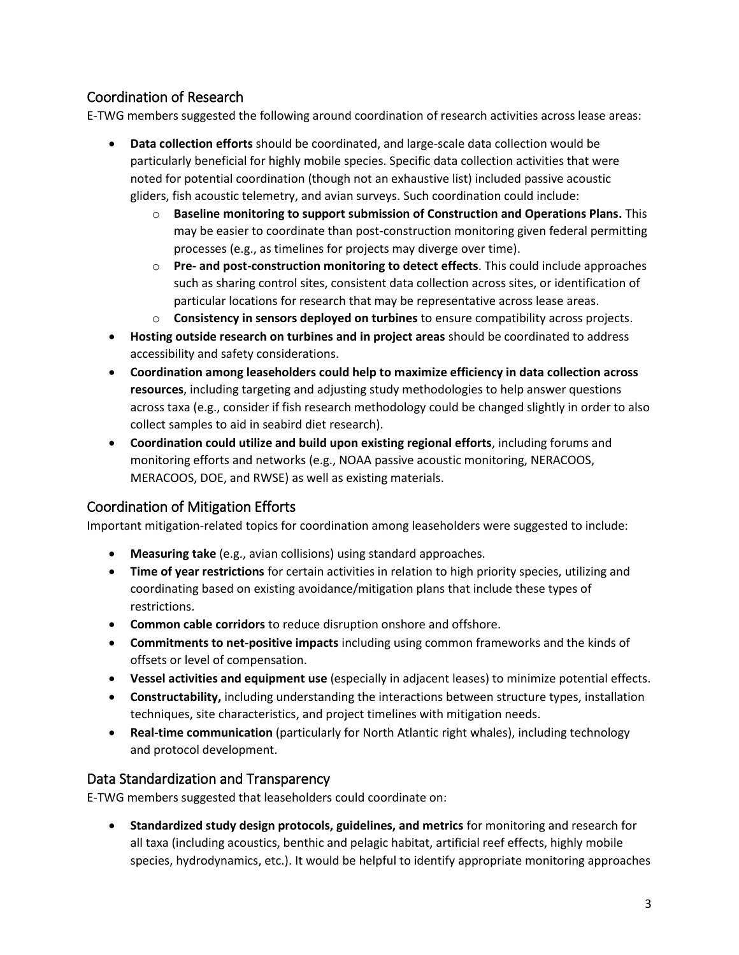## Coordination of Research

E-TWG members suggested the following around coordination of research activities across lease areas:

- **Data collection efforts** should be coordinated, and large-scale data collection would be particularly beneficial for highly mobile species. Specific data collection activities that were noted for potential coordination (though not an exhaustive list) included passive acoustic gliders, fish acoustic telemetry, and avian surveys. Such coordination could include:
	- o **Baseline monitoring to support submission of Construction and Operations Plans.** This may be easier to coordinate than post-construction monitoring given federal permitting processes (e.g., as timelines for projects may diverge over time).
	- o **Pre- and post-construction monitoring to detect effects**. This could include approaches such as sharing control sites, consistent data collection across sites, or identification of particular locations for research that may be representative across lease areas.
	- o **Consistency in sensors deployed on turbines** to ensure compatibility across projects.
- **Hosting outside research on turbines and in project areas** should be coordinated to address accessibility and safety considerations.
- **Coordination among leaseholders could help to maximize efficiency in data collection across resources**, including targeting and adjusting study methodologies to help answer questions across taxa (e.g., consider if fish research methodology could be changed slightly in order to also collect samples to aid in seabird diet research).
- **Coordination could utilize and build upon existing regional efforts**, including forums and monitoring efforts and networks (e.g., NOAA passive acoustic monitoring, NERACOOS, MERACOOS, DOE, and RWSE) as well as existing materials.

### Coordination of Mitigation Efforts

Important mitigation-related topics for coordination among leaseholders were suggested to include:

- **Measuring take** (e.g., avian collisions) using standard approaches.
- **Time of year restrictions** for certain activities in relation to high priority species, utilizing and coordinating based on existing avoidance/mitigation plans that include these types of restrictions.
- **Common cable corridors** to reduce disruption onshore and offshore.
- **Commitments to net-positive impacts** including using common frameworks and the kinds of offsets or level of compensation.
- **Vessel activities and equipment use** (especially in adjacent leases) to minimize potential effects.
- **Constructability,** including understanding the interactions between structure types, installation techniques, site characteristics, and project timelines with mitigation needs.
- **Real-time communication** (particularly for North Atlantic right whales), including technology and protocol development.

#### Data Standardization and Transparency

E-TWG members suggested that leaseholders could coordinate on:

• **Standardized study design protocols, guidelines, and metrics** for monitoring and research for all taxa (including acoustics, benthic and pelagic habitat, artificial reef effects, highly mobile species, hydrodynamics, etc.). It would be helpful to identify appropriate monitoring approaches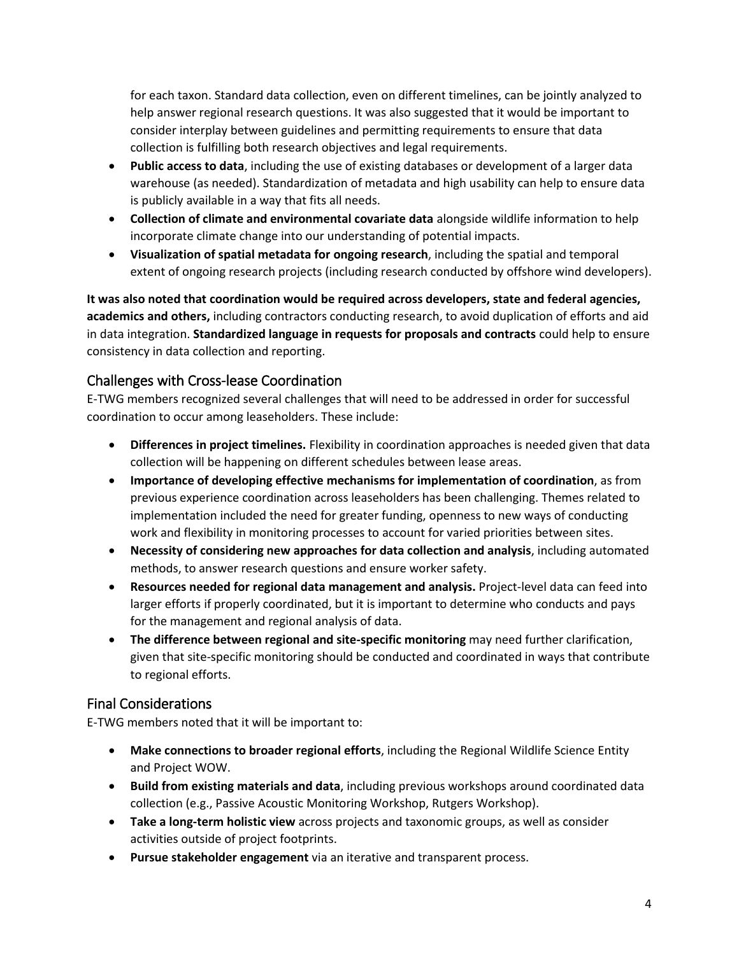for each taxon. Standard data collection, even on different timelines, can be jointly analyzed to help answer regional research questions. It was also suggested that it would be important to consider interplay between guidelines and permitting requirements to ensure that data collection is fulfilling both research objectives and legal requirements.

- **Public access to data**, including the use of existing databases or development of a larger data warehouse (as needed). Standardization of metadata and high usability can help to ensure data is publicly available in a way that fits all needs.
- **Collection of climate and environmental covariate data** alongside wildlife information to help incorporate climate change into our understanding of potential impacts.
- **Visualization of spatial metadata for ongoing research**, including the spatial and temporal extent of ongoing research projects (including research conducted by offshore wind developers).

**It was also noted that coordination would be required across developers, state and federal agencies, academics and others,** including contractors conducting research, to avoid duplication of efforts and aid in data integration. **Standardized language in requests for proposals and contracts** could help to ensure consistency in data collection and reporting.

### Challenges with Cross-lease Coordination

E-TWG members recognized several challenges that will need to be addressed in order for successful coordination to occur among leaseholders. These include:

- **Differences in project timelines.** Flexibility in coordination approaches is needed given that data collection will be happening on different schedules between lease areas.
- **Importance of developing effective mechanisms for implementation of coordination**, as from previous experience coordination across leaseholders has been challenging. Themes related to implementation included the need for greater funding, openness to new ways of conducting work and flexibility in monitoring processes to account for varied priorities between sites.
- **Necessity of considering new approaches for data collection and analysis**, including automated methods, to answer research questions and ensure worker safety.
- **Resources needed for regional data management and analysis.** Project-level data can feed into larger efforts if properly coordinated, but it is important to determine who conducts and pays for the management and regional analysis of data.
- **The difference between regional and site-specific monitoring** may need further clarification, given that site-specific monitoring should be conducted and coordinated in ways that contribute to regional efforts.

### Final Considerations

E-TWG members noted that it will be important to:

- **Make connections to broader regional efforts**, including the Regional Wildlife Science Entity and Project WOW.
- **Build from existing materials and data**, including previous workshops around coordinated data collection (e.g., Passive Acoustic Monitoring Workshop, Rutgers Workshop).
- **Take a long-term holistic view** across projects and taxonomic groups, as well as consider activities outside of project footprints.
- **Pursue stakeholder engagement** via an iterative and transparent process.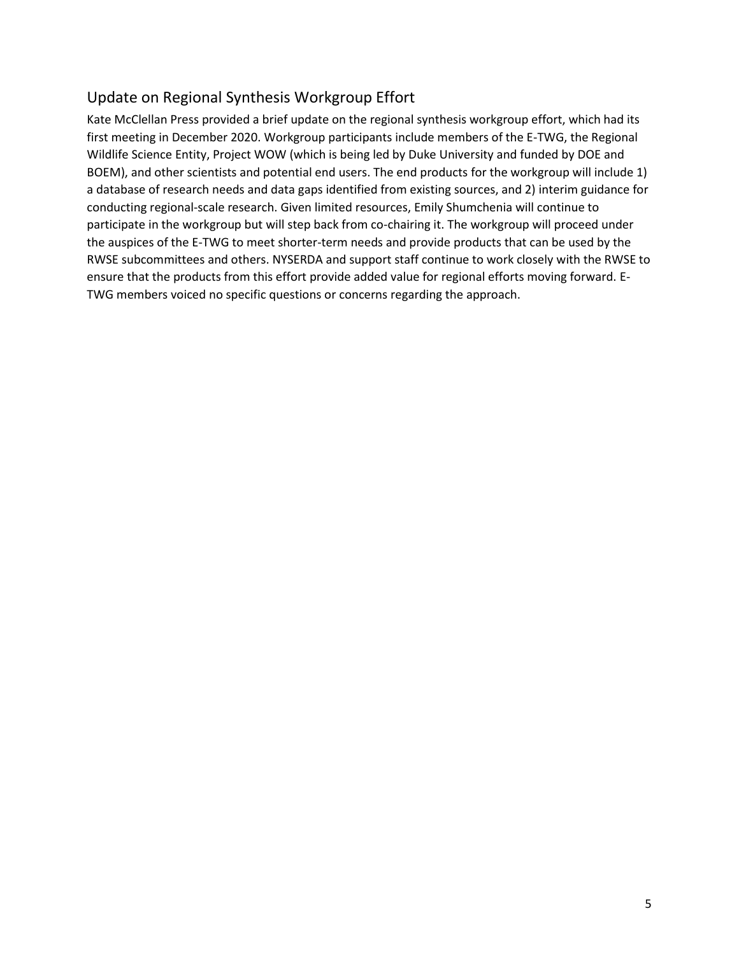# Update on Regional Synthesis Workgroup Effort

Kate McClellan Press provided a brief update on the regional synthesis workgroup effort, which had its first meeting in December 2020. Workgroup participants include members of the E-TWG, the Regional Wildlife Science Entity, Project WOW (which is being led by Duke University and funded by DOE and BOEM), and other scientists and potential end users. The end products for the workgroup will include 1) a database of research needs and data gaps identified from existing sources, and 2) interim guidance for conducting regional-scale research. Given limited resources, Emily Shumchenia will continue to participate in the workgroup but will step back from co-chairing it. The workgroup will proceed under the auspices of the E-TWG to meet shorter-term needs and provide products that can be used by the RWSE subcommittees and others. NYSERDA and support staff continue to work closely with the RWSE to ensure that the products from this effort provide added value for regional efforts moving forward. E-TWG members voiced no specific questions or concerns regarding the approach.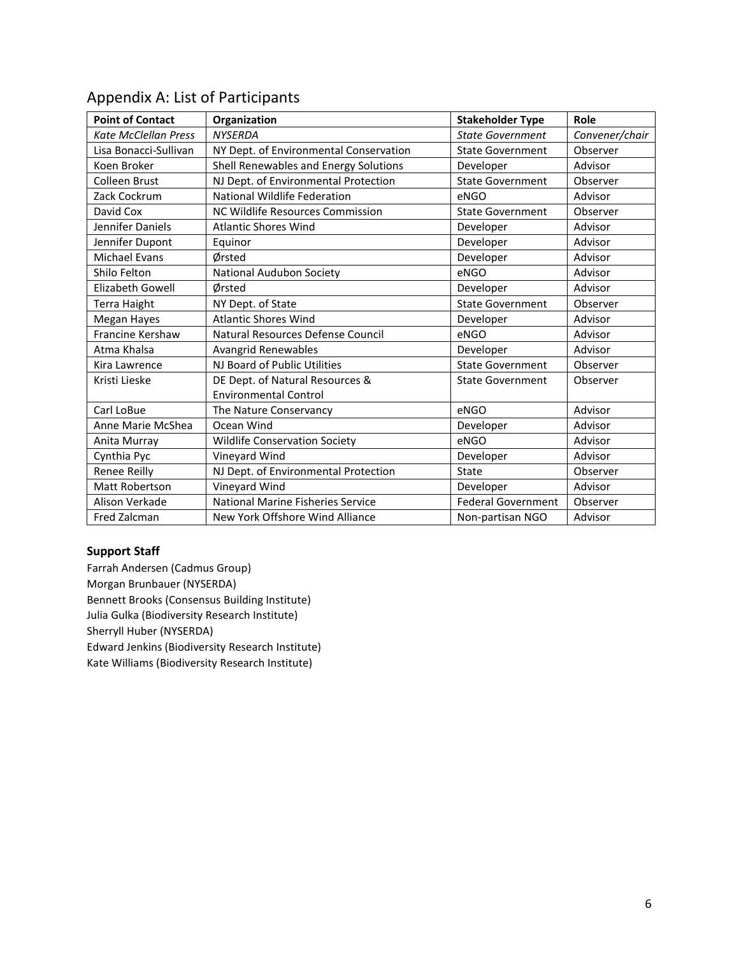| <b>Point of Contact</b>     | Organization                             | <b>Stakeholder Type</b>   | Role           |
|-----------------------------|------------------------------------------|---------------------------|----------------|
| <b>Kate McClellan Press</b> | <b>NYSERDA</b>                           | <b>State Government</b>   | Convener/chair |
| Lisa Bonacci-Sullivan       | NY Dept. of Environmental Conservation   | <b>State Government</b>   | Observer       |
| Koen Broker                 | Shell Renewables and Energy Solutions    | Developer                 | Advisor        |
| Colleen Brust               | NJ Dept. of Environmental Protection     | <b>State Government</b>   | Observer       |
| Zack Cockrum                | <b>National Wildlife Federation</b>      | eNGO                      | Advisor        |
| David Cox                   | NC Wildlife Resources Commission         | <b>State Government</b>   | Observer       |
| Jennifer Daniels            | <b>Atlantic Shores Wind</b>              | Developer                 | Advisor        |
| Jennifer Dupont             | Equinor                                  | Developer                 | Advisor        |
| Michael Evans               | Ørsted                                   | Developer                 | Advisor        |
| Shilo Felton                | National Audubon Society                 | eNGO                      | Advisor        |
| Elizabeth Gowell            | Ørsted                                   | Developer                 | Advisor        |
| <b>Terra Haight</b>         | NY Dept. of State                        | <b>State Government</b>   | Observer       |
| Megan Hayes                 | <b>Atlantic Shores Wind</b>              | Developer                 | Advisor        |
| Francine Kershaw            | Natural Resources Defense Council        | eNGO                      | Advisor        |
| Atma Khalsa                 | Avangrid Renewables                      | Developer                 | Advisor        |
| Kira Lawrence               | NJ Board of Public Utilities             | <b>State Government</b>   | Observer       |
| Kristi Lieske               | DE Dept. of Natural Resources &          | <b>State Government</b>   | Observer       |
|                             | <b>Environmental Control</b>             |                           |                |
| Carl LoBue                  | The Nature Conservancy                   | eNGO                      | Advisor        |
| Anne Marie McShea           | Ocean Wind                               | Developer                 | Advisor        |
| Anita Murray                | Wildlife Conservation Society            | eNGO                      | Advisor        |
| Cynthia Pyc                 | Vineyard Wind                            | Developer                 | Advisor        |
| Renee Reilly                | NJ Dept. of Environmental Protection     | State                     | Observer       |
| Matt Robertson              | Vineyard Wind                            | Developer                 | Advisor        |
| Alison Verkade              | <b>National Marine Fisheries Service</b> | <b>Federal Government</b> | Observer       |
| Fred Zalcman                | New York Offshore Wind Alliance          | Non-partisan NGO          | Advisor        |

# Appendix A: List of Participants

#### **Support Staff**

Farrah Andersen (Cadmus Group) Morgan Brunbauer (NYSERDA) Bennett Brooks (Consensus Building Institute) Julia Gulka (Biodiversity Research Institute) Sherryll Huber (NYSERDA) Edward Jenkins (Biodiversity Research Institute) Kate Williams (Biodiversity Research Institute)